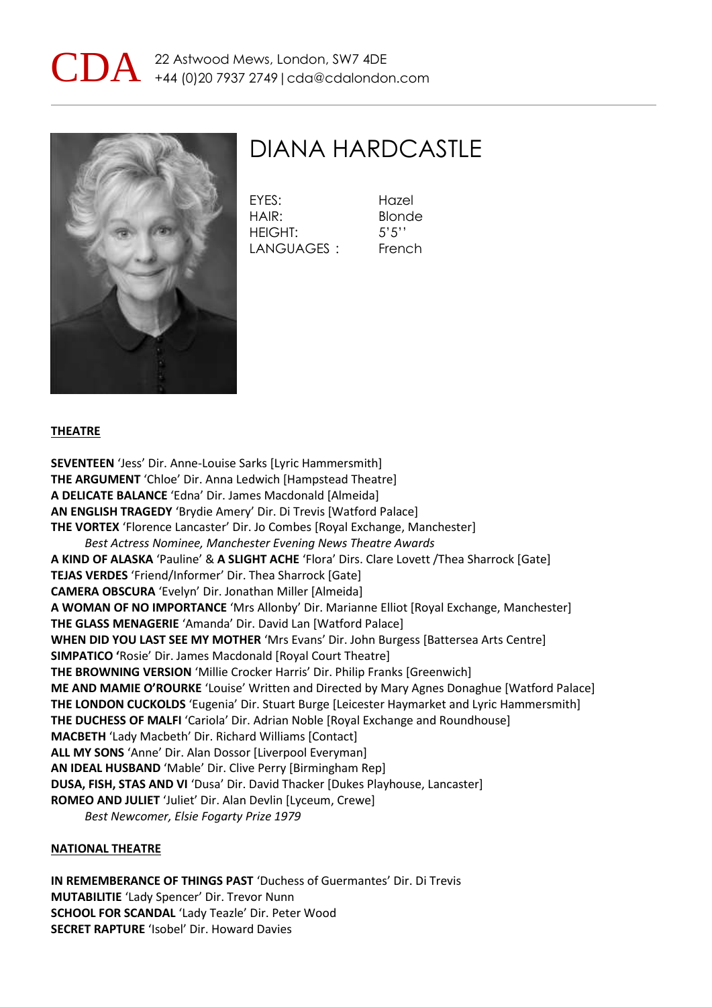



## DIANA HARDCASTLE

EYES: Hazel HAIR: Blonde HEIGHT: 5'5'' LANGUAGES : French

**THEATRE**

**SEVENTEEN** 'Jess' Dir. Anne-Louise Sarks [Lyric Hammersmith] **THE ARGUMENT** 'Chloe' Dir. Anna Ledwich [Hampstead Theatre] **A DELICATE BALANCE** 'Edna' Dir. James Macdonald [Almeida] **AN ENGLISH TRAGEDY** 'Brydie Amery' Dir. Di Trevis [Watford Palace] **THE VORTEX** 'Florence Lancaster' Dir. Jo Combes [Royal Exchange, Manchester] *Best Actress Nominee, Manchester Evening News Theatre Awards* **A KIND OF ALASKA** 'Pauline' & **A SLIGHT ACHE** 'Flora' Dirs. Clare Lovett /Thea Sharrock [Gate] **TEJAS VERDES** 'Friend/Informer' Dir. Thea Sharrock [Gate] **CAMERA OBSCURA** 'Evelyn' Dir. Jonathan Miller [Almeida] **A WOMAN OF NO IMPORTANCE** 'Mrs Allonby' Dir. Marianne Elliot [Royal Exchange, Manchester] **THE GLASS MENAGERIE** 'Amanda' Dir. David Lan [Watford Palace] **WHEN DID YOU LAST SEE MY MOTHER** 'Mrs Evans' Dir. John Burgess [Battersea Arts Centre] **SIMPATICO '**Rosie' Dir. James Macdonald [Royal Court Theatre] **THE BROWNING VERSION** 'Millie Crocker Harris' Dir. Philip Franks [Greenwich] **ME AND MAMIE O'ROURKE** 'Louise' Written and Directed by Mary Agnes Donaghue [Watford Palace] **THE LONDON CUCKOLDS** 'Eugenia' Dir. Stuart Burge [Leicester Haymarket and Lyric Hammersmith] **THE DUCHESS OF MALFI** 'Cariola' Dir. Adrian Noble [Royal Exchange and Roundhouse] **MACBETH** 'Lady Macbeth' Dir. Richard Williams [Contact] **ALL MY SONS** 'Anne' Dir. Alan Dossor [Liverpool Everyman] **AN IDEAL HUSBAND** 'Mable' Dir. Clive Perry [Birmingham Rep] **DUSA, FISH, STAS AND VI** 'Dusa' Dir. David Thacker [Dukes Playhouse, Lancaster] **ROMEO AND JULIET** 'Juliet' Dir. Alan Devlin [Lyceum, Crewe] *Best Newcomer, Elsie Fogarty Prize 1979*

#### **NATIONAL THEATRE**

**IN REMEMBERANCE OF THINGS PAST** 'Duchess of Guermantes' Dir. Di Trevis **MUTABILITIE** 'Lady Spencer' Dir. Trevor Nunn **SCHOOL FOR SCANDAL** 'Lady Teazle' Dir. Peter Wood **SECRET RAPTURE** 'Isobel' Dir. Howard Davies